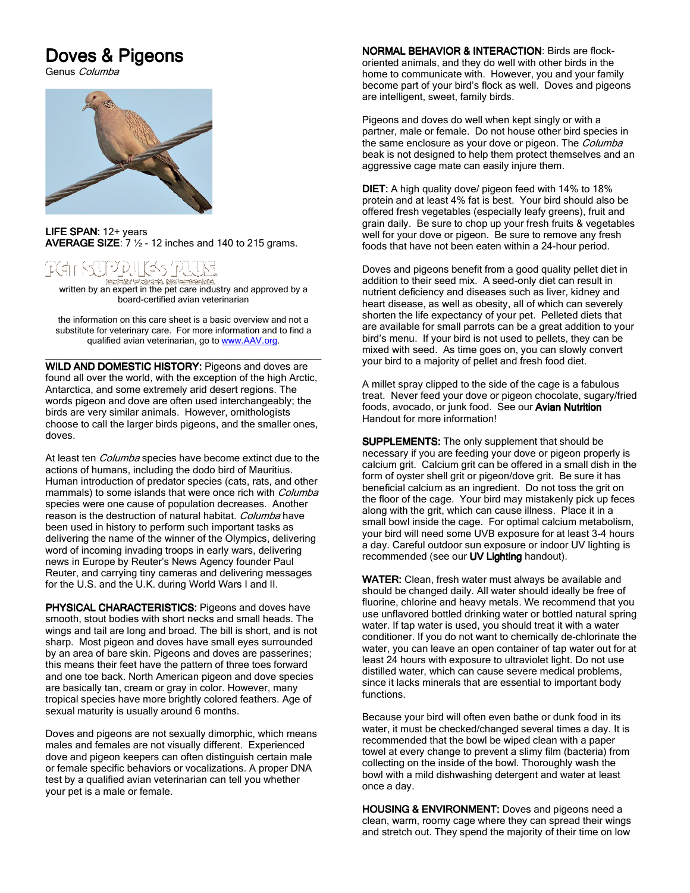## Doves & Pigeons

Genus Columba



LIFE SPAN:  $12+$  years AVERAGE SIZE:  $7 \frac{1}{2}$  - 12 inches and 140 to 215 grams.

## 全局三年 计同步形式 的复数医无动脉的

written by an expert in the pet care industry and approved by a<br>written by an expert in the pet care industry and approved by a board-certified avian veterinarian

the information on this care sheet is a basic overview and not a substitute for veterinary care. For more information and to find a qualified avian veterinarian, go to www.AAV.org.

\_\_\_\_\_\_\_\_\_\_\_\_\_\_\_\_\_\_\_\_\_\_\_\_\_\_\_\_\_\_\_\_\_\_\_\_\_ WILD AND DOMESTIC HISTORY: Pigeons and doves are found all over the world, with the exception of the high Arctic, Antarctica, and some extremely arid desert regions. The words pigeon and dove are often used interchangeably; the birds are very similar animals. However, ornithologists choose to call the larger birds pigeons, and the smaller ones, doves.

At least ten *Columba* species have become extinct due to the actions of humans, including the dodo bird of Mauritius. Human introduction of predator species (cats, rats, and other mammals) to some islands that were once rich with *Columba* species were one cause of population decreases. Another reason is the destruction of natural habitat. Columba have been used in history to perform such important tasks as delivering the name of the winner of the Olympics, delivering word of incoming invading troops in early wars, delivering news in Europe by Reuter's News Agency founder Paul Reuter, and carrying tiny cameras and delivering messages for the U.S. and the U.K. during World Wars I and II.

PHYSICAL CHARACTERISTICS: Pigeons and doves have smooth, stout bodies with short necks and small heads. The wings and tail are long and broad. The bill is short, and is not sharp. Most pigeon and doves have small eyes surrounded by an area of bare skin. Pigeons and doves are passerines; this means their feet have the pattern of three toes forward and one toe back. North American pigeon and dove species are basically tan, cream or gray in color. However, many tropical species have more brightly colored feathers. Age of sexual maturity is usually around 6 months.

Doves and pigeons are not sexually dimorphic, which means males and females are not visually different. Experienced dove and pigeon keepers can often distinguish certain male or female specific behaviors or vocalizations. A proper DNA test by a qualified avian veterinarian can tell you whether your pet is a male or female.

NORMAL BEHAVIOR & INTERACTION: Birds are flockoriented animals, and they do well with other birds in the home to communicate with. However, you and your family become part of your bird's flock as well. Doves and pigeons are intelligent, sweet, family birds.

Pigeons and doves do well when kept singly or with a partner, male or female. Do not house other bird species in the same enclosure as your dove or pigeon. The Columba beak is not designed to help them protect themselves and an aggressive cage mate can easily injure them.

**DIET:** A high quality dove/ pigeon feed with 14% to 18% protein and at least 4% fat is best. Your bird should also be offered fresh vegetables (especially leafy greens), fruit and grain daily. Be sure to chop up your fresh fruits & vegetables well for your dove or pigeon. Be sure to remove any fresh foods that have not been eaten within a 24-hour period.

Doves and pigeons benefit from a good quality pellet diet in addition to their seed mix. A seed-only diet can result in nutrient deficiency and diseases such as liver, kidney and heart disease, as well as obesity, all of which can severely shorten the life expectancy of your pet. Pelleted diets that are available for small parrots can be a great addition to your bird's menu. If your bird is not used to pellets, they can be mixed with seed. As time goes on, you can slowly convert your bird to a majority of pellet and fresh food diet.

A millet spray clipped to the side of the cage is a fabulous treat. Never feed your dove or pigeon chocolate, sugary/fried foods, avocado, or junk food. See our Avian Nutrition Handout for more information!

SUPPLEMENTS: The only supplement that should be necessary if you are feeding your dove or pigeon properly is calcium grit. Calcium grit can be offered in a small dish in the form of oyster shell grit or pigeon/dove grit. Be sure it has beneficial calcium as an ingredient. Do not toss the grit on the floor of the cage. Your bird may mistakenly pick up feces along with the grit, which can cause illness. Place it in a small bowl inside the cage. For optimal calcium metabolism, your bird will need some UVB exposure for at least 3-4 hours a day. Careful outdoor sun exposure or indoor UV lighting is recommended (see our UV Lighting handout).

WATER: Clean, fresh water must always be available and should be changed daily. All water should ideally be free of fluorine, chlorine and heavy metals. We recommend that you use unflavored bottled drinking water or bottled natural spring water. If tap water is used, you should treat it with a water conditioner. If you do not want to chemically de-chlorinate the water, you can leave an open container of tap water out for at least 24 hours with exposure to ultraviolet light. Do not use distilled water, which can cause severe medical problems, since it lacks minerals that are essential to important body functions.

Because your bird will often even bathe or dunk food in its water, it must be checked/changed several times a day. It is recommended that the bowl be wiped clean with a paper towel at every change to prevent a slimy film (bacteria) from collecting on the inside of the bowl. Thoroughly wash the bowl with a mild dishwashing detergent and water at least once a day.

HOUSING & ENVIRONMENT: Doves and pigeons need a clean, warm, roomy cage where they can spread their wings and stretch out. They spend the majority of their time on low